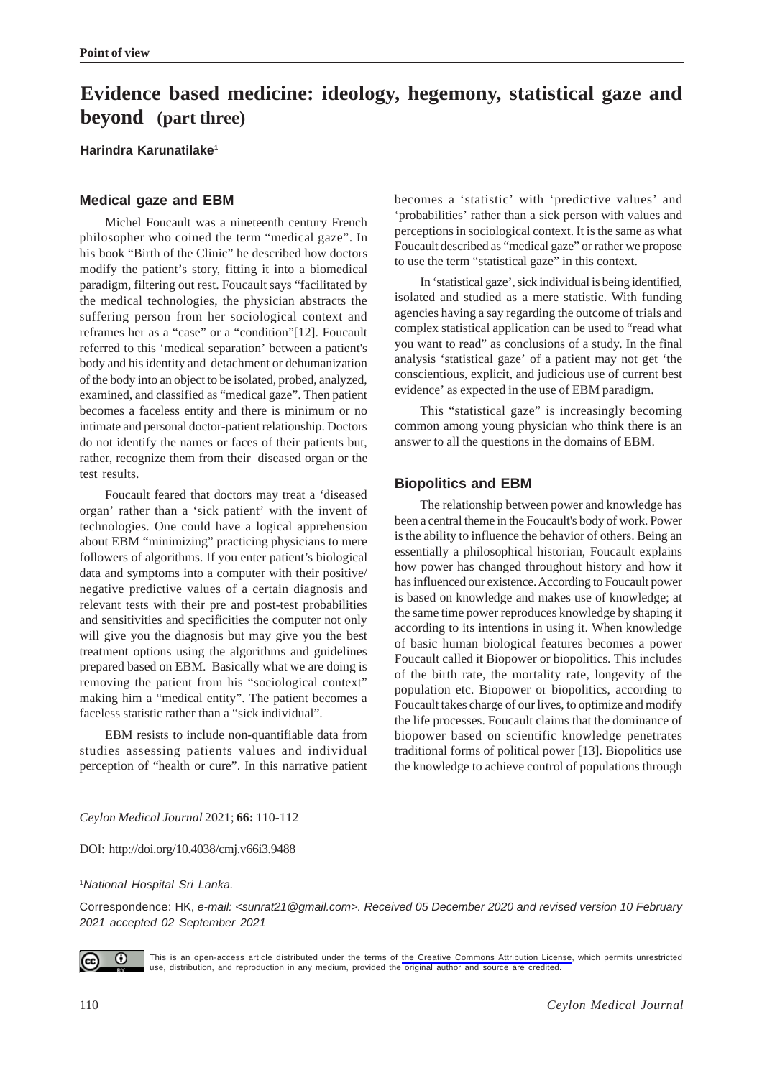# **Evidence based medicine: ideology, hegemony, statistical gaze and beyond (part three)**

**Harindra Karunatilake**<sup>1</sup>

## **Medical gaze and EBM**

Michel Foucault was a nineteenth century French philosopher who coined the term "medical gaze". In his book "Birth of the Clinic" he described how doctors modify the patient's story, fitting it into a biomedical paradigm, filtering out rest. Foucault says "facilitated by the medical technologies, the physician abstracts the suffering person from her sociological context and reframes her as a "case" or a "condition"[12]. Foucault referred to this 'medical separation' between a patient's body and his identity and detachment or dehumanization of the body into an object to be isolated, probed, analyzed, examined, and classified as "medical gaze". Then patient becomes a faceless entity and there is minimum or no intimate and personal doctor-patient relationship. Doctors do not identify the names or faces of their patients but, rather, recognize them from their diseased organ or the test results.

Foucault feared that doctors may treat a 'diseased organ' rather than a 'sick patient' with the invent of technologies. One could have a logical apprehension about EBM "minimizing" practicing physicians to mere followers of algorithms. If you enter patient's biological data and symptoms into a computer with their positive/ negative predictive values of a certain diagnosis and relevant tests with their pre and post-test probabilities and sensitivities and specificities the computer not only will give you the diagnosis but may give you the best treatment options using the algorithms and guidelines prepared based on EBM. Basically what we are doing is removing the patient from his "sociological context" making him a "medical entity". The patient becomes a faceless statistic rather than a "sick individual".

EBM resists to include non-quantifiable data from studies assessing patients values and individual perception of "health or cure". In this narrative patient becomes a 'statistic' with 'predictive values' and 'probabilities' rather than a sick person with values and perceptions in sociological context. It is the same as what Foucault described as "medical gaze" or rather we propose to use the term "statistical gaze" in this context.

In 'statistical gaze', sick individual is being identified, isolated and studied as a mere statistic. With funding agencies having a say regarding the outcome of trials and complex statistical application can be used to "read what you want to read" as conclusions of a study. In the final analysis 'statistical gaze' of a patient may not get 'the conscientious, explicit, and judicious use of current best evidence' as expected in the use of EBM paradigm.

This "statistical gaze" is increasingly becoming common among young physician who think there is an answer to all the questions in the domains of EBM.

## **Biopolitics and EBM**

The relationship between power and knowledge has been a central theme in the Foucault's body of work. Power is the ability to influence the behavior of others. Being an essentially a philosophical historian, Foucault explains how power has changed throughout history and how it has influenced our existence. According to Foucault power is based on knowledge and makes use of knowledge; at the same time power reproduces knowledge by shaping it according to its intentions in using it. When knowledge of basic human biological features becomes a power Foucault called it Biopower or biopolitics. This includes of the birth rate, the mortality rate, longevity of the population etc. Biopower or biopolitics, according to Foucault takes charge of our lives, to optimize and modify the life processes. Foucault claims that the dominance of biopower based on scientific knowledge penetrates traditional forms of political power [13]. Biopolitics use the knowledge to achieve control of populations through

*Ceylon Medical Journal* 2021; **66:** 110-112

DOI: http://doi.org/10.4038/cmj.v66i3.9488

<sup>1</sup>*National Hospital Sri Lanka.*

Correspondence: HK, *e-mail: <sunrat21@gmail.com>. Received 05 December 2020 and revised version 10 February 2021 accepted 02 September 2021*



This is an open-access article distributed under the terms of [the Creative Commons Attribution License](https://creativecommons.org/licenses/by/4.0/legalcode), which permits unrestricted use, distribution, and reproduction in any medium, provided the original author and source are credited.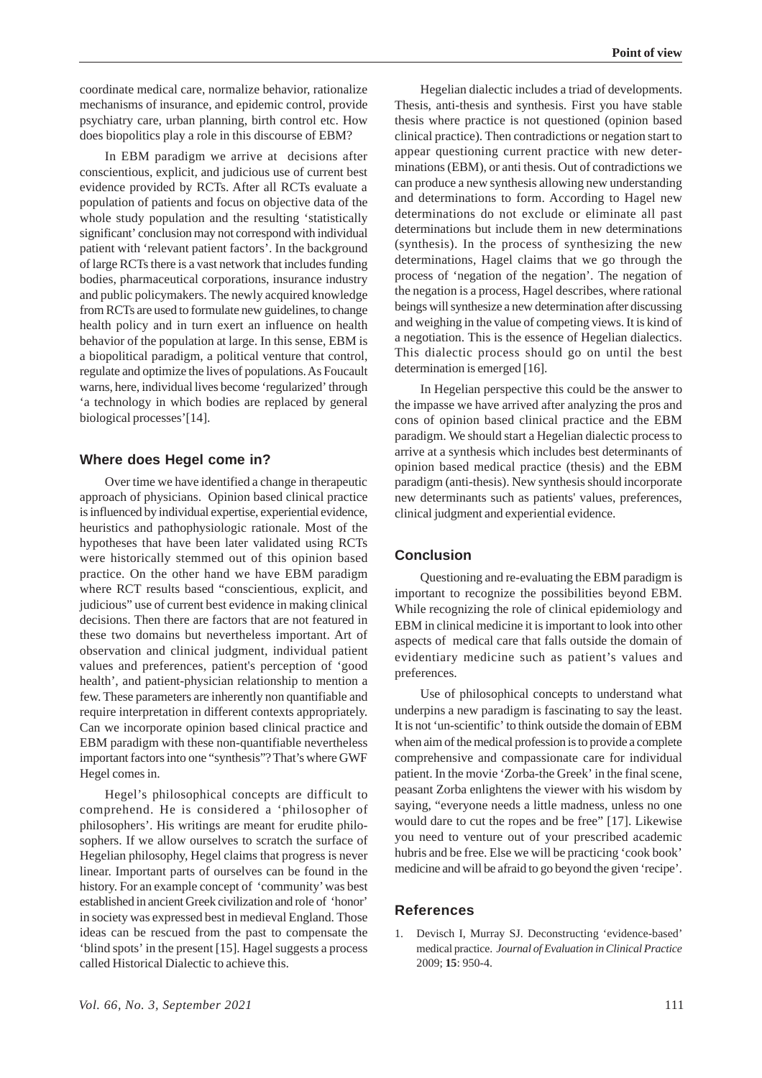coordinate medical care, normalize behavior, rationalize mechanisms of insurance, and epidemic control, provide psychiatry care, urban planning, birth control etc. How does biopolitics play a role in this discourse of EBM?

In EBM paradigm we arrive at decisions after conscientious, explicit, and judicious use of current best evidence provided by RCTs. After all RCTs evaluate a population of patients and focus on objective data of the whole study population and the resulting 'statistically significant' conclusion may not correspond with individual patient with 'relevant patient factors'. In the background of large RCTs there is a vast network that includes funding bodies, pharmaceutical corporations, insurance industry and public policymakers. The newly acquired knowledge from RCTs are used to formulate new guidelines, to change health policy and in turn exert an influence on health behavior of the population at large. In this sense, EBM is a biopolitical paradigm, a political venture that control, regulate and optimize the lives of populations. As Foucault warns, here, individual lives become 'regularized' through 'a technology in which bodies are replaced by general biological processes'[14].

#### **Where does Hegel come in?**

Over time we have identified a change in therapeutic approach of physicians. Opinion based clinical practice is influenced by individual expertise, experiential evidence, heuristics and pathophysiologic rationale. Most of the hypotheses that have been later validated using RCTs were historically stemmed out of this opinion based practice. On the other hand we have EBM paradigm where RCT results based "conscientious, explicit, and judicious" use of current best evidence in making clinical decisions. Then there are factors that are not featured in these two domains but nevertheless important. Art of observation and clinical judgment, individual patient values and preferences, patient's perception of 'good health', and patient-physician relationship to mention a few. These parameters are inherently non quantifiable and require interpretation in different contexts appropriately. Can we incorporate opinion based clinical practice and EBM paradigm with these non-quantifiable nevertheless important factors into one "synthesis"? That's where GWF Hegel comes in.

Hegel's philosophical concepts are difficult to comprehend. He is considered a 'philosopher of philosophers'. His writings are meant for erudite philosophers. If we allow ourselves to scratch the surface of Hegelian philosophy, Hegel claims that progress is never linear. Important parts of ourselves can be found in the history. For an example concept of 'community' was best established in ancient Greek civilization and role of 'honor' in society was expressed best in medieval England. Those ideas can be rescued from the past to compensate the 'blind spots' in the present [15]. Hagel suggests a process called Historical Dialectic to achieve this.

Hegelian dialectic includes a triad of developments. Thesis, anti-thesis and synthesis. First you have stable thesis where practice is not questioned (opinion based clinical practice). Then contradictions or negation start to appear questioning current practice with new determinations (EBM), or anti thesis. Out of contradictions we can produce a new synthesis allowing new understanding and determinations to form. According to Hagel new determinations do not exclude or eliminate all past determinations but include them in new determinations (synthesis). In the process of synthesizing the new determinations, Hagel claims that we go through the process of 'negation of the negation'. The negation of the negation is a process, Hagel describes, where rational beings will synthesize a new determination after discussing and weighing in the value of competing views. It is kind of a negotiation. This is the essence of Hegelian dialectics. This dialectic process should go on until the best determination is emerged [16].

In Hegelian perspective this could be the answer to the impasse we have arrived after analyzing the pros and cons of opinion based clinical practice and the EBM paradigm. We should start a Hegelian dialectic process to arrive at a synthesis which includes best determinants of opinion based medical practice (thesis) and the EBM paradigm (anti-thesis). New synthesis should incorporate new determinants such as patients' values, preferences, clinical judgment and experiential evidence.

### **Conclusion**

Questioning and re-evaluating the EBM paradigm is important to recognize the possibilities beyond EBM. While recognizing the role of clinical epidemiology and EBM in clinical medicine it is important to look into other aspects of medical care that falls outside the domain of evidentiary medicine such as patient's values and preferences.

Use of philosophical concepts to understand what underpins a new paradigm is fascinating to say the least. It is not 'un-scientific' to think outside the domain of EBM when aim of the medical profession is to provide a complete comprehensive and compassionate care for individual patient. In the movie 'Zorba-the Greek' in the final scene, peasant Zorba enlightens the viewer with his wisdom by saying, "everyone needs a little madness, unless no one would dare to cut the ropes and be free" [17]. Likewise you need to venture out of your prescribed academic hubris and be free. Else we will be practicing 'cook book' medicine and will be afraid to go beyond the given 'recipe'.

#### **References**

1. Devisch I, Murray SJ. Deconstructing 'evidence-based' medical practice. *Journal of Evaluation in Clinical Practice* 2009; **15**: 950-4.